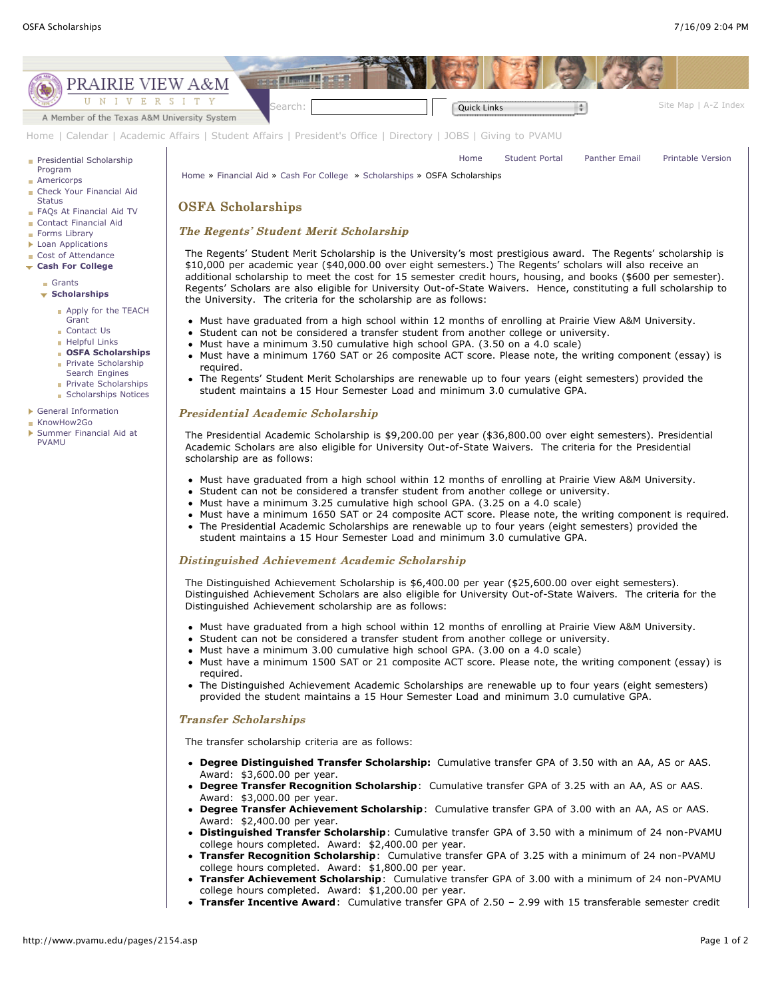

## Distinguished Achievement Academic Scholarship

The Distinguished Achievement Scholarship is \$6,400.00 per year (\$25,600.00 over eight semesters). Distinguished Achievement Scholars are also eligible for University Out-of-State Waivers. The criteria for the Distinguished Achievement scholarship are as follows:

- Must have graduated from a high school within 12 months of enrolling at Prairie View A&M University.
- Student can not be considered a transfer student from another college or university.
- Must have a minimum 3.00 cumulative high school GPA. (3.00 on a 4.0 scale)
- Must have a minimum 1500 SAT or 21 composite ACT score. Please note, the writing component (essay) is required.
- The Distinguished Achievement Academic Scholarships are renewable up to four years (eight semesters) provided the student maintains a 15 Hour Semester Load and minimum 3.0 cumulative GPA.

## **Transfer Scholarships**

The transfer scholarship criteria are as follows:

- **Degree Distinguished Transfer Scholarship:** Cumulative transfer GPA of 3.50 with an AA, AS or AAS. Award: \$3,600.00 per year.
- **Degree Transfer Recognition Scholarship**: Cumulative transfer GPA of 3.25 with an AA, AS or AAS. Award: \$3,000.00 per year.
- **Degree Transfer Achievement Scholarship**: Cumulative transfer GPA of 3.00 with an AA, AS or AAS. Award: \$2,400.00 per year.
- **Distinguished Transfer Scholarship**: Cumulative transfer GPA of 3.50 with a minimum of 24 non-PVAMU college hours completed. Award: \$2,400.00 per year.
- **Transfer Recognition Scholarship**: Cumulative transfer GPA of 3.25 with a minimum of 24 non-PVAMU college hours completed. Award: \$1,800.00 per year.
- **Transfer Achievement Scholarship**: Cumulative transfer GPA of 3.00 with a minimum of 24 non-PVAMU college hours completed. Award: \$1,200.00 per year.
- **Transfer Incentive Award**: Cumulative transfer GPA of 2.50 2.99 with 15 transferable semester credit